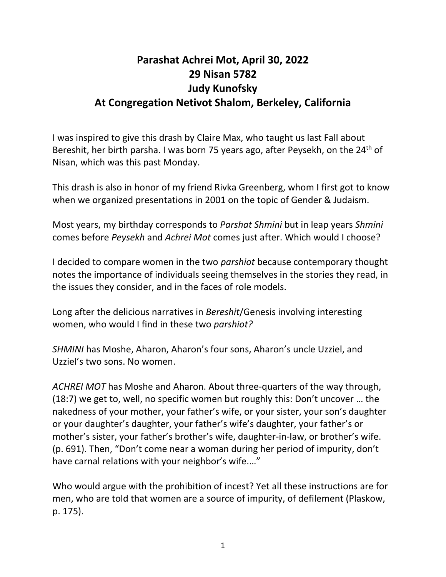## **Parashat Achrei Mot, April 30, 2022 29 Nisan 5782 Judy Kunofsky At Congregation Netivot Shalom, Berkeley, California**

I was inspired to give this drash by Claire Max, who taught us last Fall about Bereshit, her birth parsha. I was born 75 years ago, after Peysekh, on the 24<sup>th</sup> of Nisan, which was this past Monday.

This drash is also in honor of my friend Rivka Greenberg, whom I first got to know when we organized presentations in 2001 on the topic of Gender & Judaism.

Most years, my birthday corresponds to *Parshat Shmini* but in leap years *Shmini*  comes before *Peysekh* and *Achrei Mot* comes just after. Which would I choose?

I decided to compare women in the two *parshiot* because contemporary thought notes the importance of individuals seeing themselves in the stories they read, in the issues they consider, and in the faces of role models.

Long after the delicious narratives in *Bereshit*/Genesis involving interesting women, who would I find in these two *parshiot?*

*SHMINI* has Moshe, Aharon, Aharon's four sons, Aharon's uncle Uzziel, and Uzziel's two sons. No women.

*ACHREI MOT* has Moshe and Aharon. About three-quarters of the way through, (18:7) we get to, well, no specific women but roughly this: Don't uncover … the nakedness of your mother, your father's wife, or your sister, your son's daughter or your daughter's daughter, your father's wife's daughter, your father's or mother's sister, your father's brother's wife, daughter-in-law, or brother's wife. (p. 691). Then, "Don't come near a woman during her period of impurity, don't have carnal relations with your neighbor's wife.…"

Who would argue with the prohibition of incest? Yet all these instructions are for men, who are told that women are a source of impurity, of defilement (Plaskow, p. 175).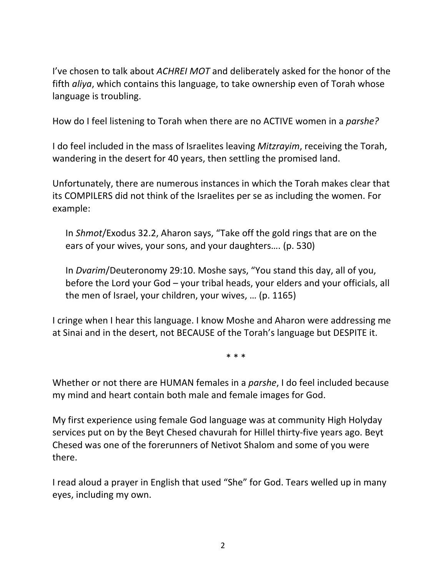I've chosen to talk about *ACHREI MOT* and deliberately asked for the honor of the fifth *aliya*, which contains this language, to take ownership even of Torah whose language is troubling.

How do I feel listening to Torah when there are no ACTIVE women in a *parshe?*

I do feel included in the mass of Israelites leaving *Mitzrayim*, receiving the Torah, wandering in the desert for 40 years, then settling the promised land.

Unfortunately, there are numerous instances in which the Torah makes clear that its COMPILERS did not think of the Israelites per se as including the women. For example:

In *Shmot*/Exodus 32.2, Aharon says, "Take off the gold rings that are on the ears of your wives, your sons, and your daughters…. (p. 530)

In *Dvarim*/Deuteronomy 29:10. Moshe says, "You stand this day, all of you, before the Lord your God – your tribal heads, your elders and your officials, all the men of Israel, your children, your wives, … (p. 1165)

I cringe when I hear this language. I know Moshe and Aharon were addressing me at Sinai and in the desert, not BECAUSE of the Torah's language but DESPITE it.

\* \* \*

Whether or not there are HUMAN females in a *parshe*, I do feel included because my mind and heart contain both male and female images for God.

My first experience using female God language was at community High Holyday services put on by the Beyt Chesed chavurah for Hillel thirty-five years ago. Beyt Chesed was one of the forerunners of Netivot Shalom and some of you were there.

I read aloud a prayer in English that used "She" for God. Tears welled up in many eyes, including my own.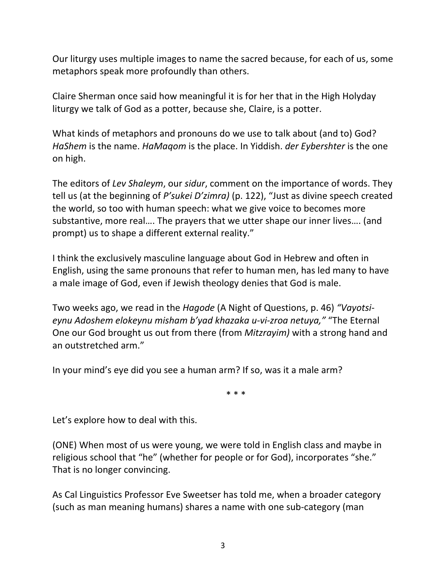Our liturgy uses multiple images to name the sacred because, for each of us, some metaphors speak more profoundly than others.

Claire Sherman once said how meaningful it is for her that in the High Holyday liturgy we talk of God as a potter, because she, Claire, is a potter.

What kinds of metaphors and pronouns do we use to talk about (and to) God? *HaShem* is the name. *HaMaqom* is the place. In Yiddish. *der Eybershter* is the one on high.

The editors of *Lev Shaleym*, our *sidur*, comment on the importance of words. They tell us (at the beginning of *P'sukei D'zimra)* (p. 122), "Just as divine speech created the world, so too with human speech: what we give voice to becomes more substantive, more real…. The prayers that we utter shape our inner lives…. (and prompt) us to shape a different external reality."

I think the exclusively masculine language about God in Hebrew and often in English, using the same pronouns that refer to human men, has led many to have a male image of God, even if Jewish theology denies that God is male.

Two weeks ago, we read in the *Hagode* (A Night of Questions, p. 46) *"Vayotsieynu Adoshem elokeynu misham b'yad khazaka u-vi-zroa netuya,"* "The Eternal One our God brought us out from there (from *Mitzrayim)* with a strong hand and an outstretched arm."

In your mind's eye did you see a human arm? If so, was it a male arm?

\* \* \*

Let's explore how to deal with this.

(ONE) When most of us were young, we were told in English class and maybe in religious school that "he" (whether for people or for God), incorporates "she." That is no longer convincing.

As Cal Linguistics Professor Eve Sweetser has told me, when a broader category (such as man meaning humans) shares a name with one sub-category (man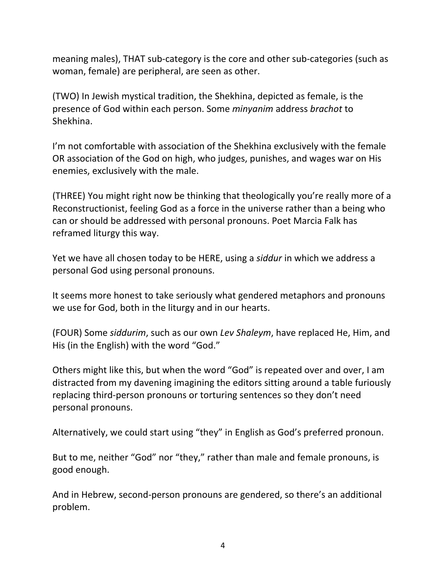meaning males), THAT sub-category is the core and other sub-categories (such as woman, female) are peripheral, are seen as other.

(TWO) In Jewish mystical tradition, the Shekhina, depicted as female, is the presence of God within each person. Some *minyanim* address *brachot* to Shekhina.

I'm not comfortable with association of the Shekhina exclusively with the female OR association of the God on high, who judges, punishes, and wages war on His enemies, exclusively with the male.

(THREE) You might right now be thinking that theologically you're really more of a Reconstructionist, feeling God as a force in the universe rather than a being who can or should be addressed with personal pronouns. Poet Marcia Falk has reframed liturgy this way.

Yet we have all chosen today to be HERE, using a *siddur* in which we address a personal God using personal pronouns.

It seems more honest to take seriously what gendered metaphors and pronouns we use for God, both in the liturgy and in our hearts.

(FOUR) Some *siddurim*, such as our own *Lev Shaleym*, have replaced He, Him, and His (in the English) with the word "God."

Others might like this, but when the word "God" is repeated over and over, I am distracted from my davening imagining the editors sitting around a table furiously replacing third-person pronouns or torturing sentences so they don't need personal pronouns.

Alternatively, we could start using "they" in English as God's preferred pronoun.

But to me, neither "God" nor "they," rather than male and female pronouns, is good enough.

And in Hebrew, second-person pronouns are gendered, so there's an additional problem.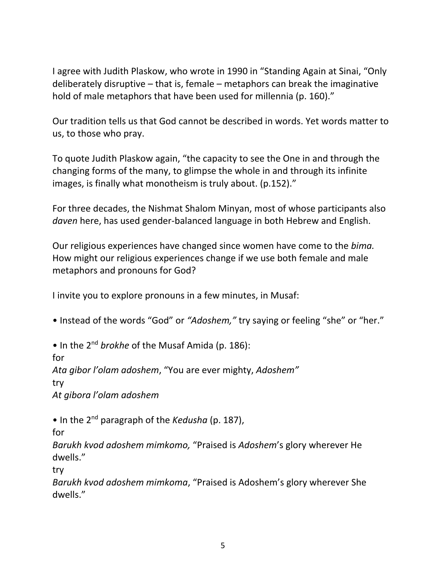I agree with Judith Plaskow, who wrote in 1990 in "Standing Again at Sinai, "Only deliberately disruptive – that is, female – metaphors can break the imaginative hold of male metaphors that have been used for millennia (p. 160)."

Our tradition tells us that God cannot be described in words. Yet words matter to us, to those who pray.

To quote Judith Plaskow again, "the capacity to see the One in and through the changing forms of the many, to glimpse the whole in and through its infinite images, is finally what monotheism is truly about. (p.152)."

For three decades, the Nishmat Shalom Minyan, most of whose participants also *daven* here, has used gender-balanced language in both Hebrew and English.

Our religious experiences have changed since women have come to the *bima.* How might our religious experiences change if we use both female and male metaphors and pronouns for God?

I invite you to explore pronouns in a few minutes, in Musaf:

• Instead of the words "God" or *"Adoshem,"* try saying or feeling "she" or "her."

• In the 2<sup>nd</sup> brokhe of the Musaf Amida (p. 186):

for

*Ata gibor l'olam adoshem*, "You are ever mighty, *Adoshem"*

try

*At gibora l'olam adoshem*

• In the 2<sup>nd</sup> paragraph of the *Kedusha* (p. 187),

for

*Barukh kvod adoshem mimkomo,* "Praised is *Adoshem*'s glory wherever He dwells."

try

*Barukh kvod adoshem mimkoma*, "Praised is Adoshem's glory wherever She dwells."